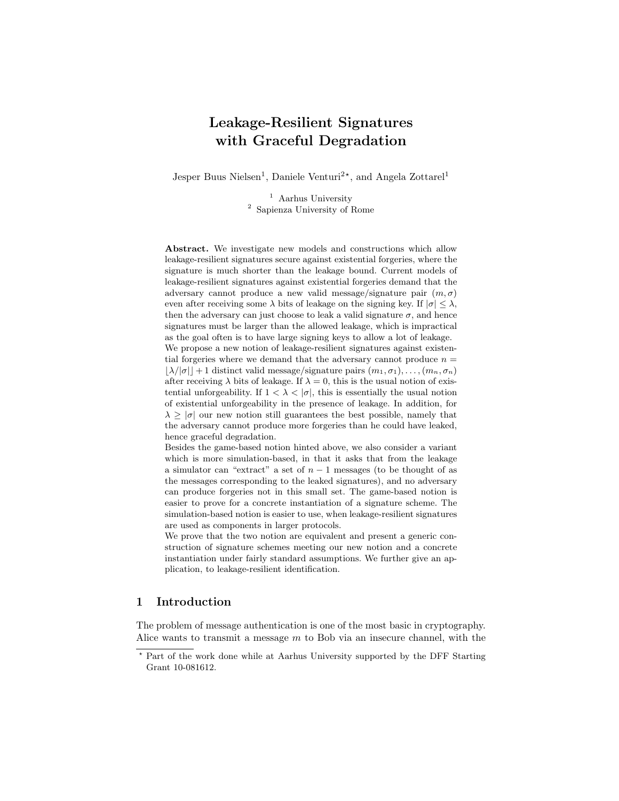# Leakage-Resilient Signatures with Graceful Degradation

Jesper Buus Nielsen<sup>1</sup>, Daniele Venturi<sup>2\*</sup>, and Angela Zottarel<sup>1</sup>

<sup>1</sup> Aarhus University <sup>2</sup> Sapienza University of Rome

Abstract. We investigate new models and constructions which allow leakage-resilient signatures secure against existential forgeries, where the signature is much shorter than the leakage bound. Current models of leakage-resilient signatures against existential forgeries demand that the adversary cannot produce a new valid message/signature pair  $(m, \sigma)$ even after receiving some  $\lambda$  bits of leakage on the signing key. If  $|\sigma| \leq \lambda$ , then the adversary can just choose to leak a valid signature  $\sigma$ , and hence signatures must be larger than the allowed leakage, which is impractical as the goal often is to have large signing keys to allow a lot of leakage.

We propose a new notion of leakage-resilient signatures against existential forgeries where we demand that the adversary cannot produce  $n =$  $|\lambda/|\sigma|$  + 1 distinct valid message/signature pairs  $(m_1, \sigma_1), \ldots, (m_n, \sigma_n)$ after receiving  $\lambda$  bits of leakage. If  $\lambda = 0$ , this is the usual notion of existential unforgeability. If  $1 < \lambda < |\sigma|$ , this is essentially the usual notion of existential unforgeability in the presence of leakage. In addition, for  $\lambda \geq |\sigma|$  our new notion still guarantees the best possible, namely that the adversary cannot produce more forgeries than he could have leaked, hence graceful degradation.

Besides the game-based notion hinted above, we also consider a variant which is more simulation-based, in that it asks that from the leakage a simulator can "extract" a set of  $n-1$  messages (to be thought of as the messages corresponding to the leaked signatures), and no adversary can produce forgeries not in this small set. The game-based notion is easier to prove for a concrete instantiation of a signature scheme. The simulation-based notion is easier to use, when leakage-resilient signatures are used as components in larger protocols.

We prove that the two notion are equivalent and present a generic construction of signature schemes meeting our new notion and a concrete instantiation under fairly standard assumptions. We further give an application, to leakage-resilient identification.

# 1 Introduction

The problem of message authentication is one of the most basic in cryptography. Alice wants to transmit a message  $m$  to Bob via an insecure channel, with the

<sup>?</sup> Part of the work done while at Aarhus University supported by the DFF Starting Grant 10-081612.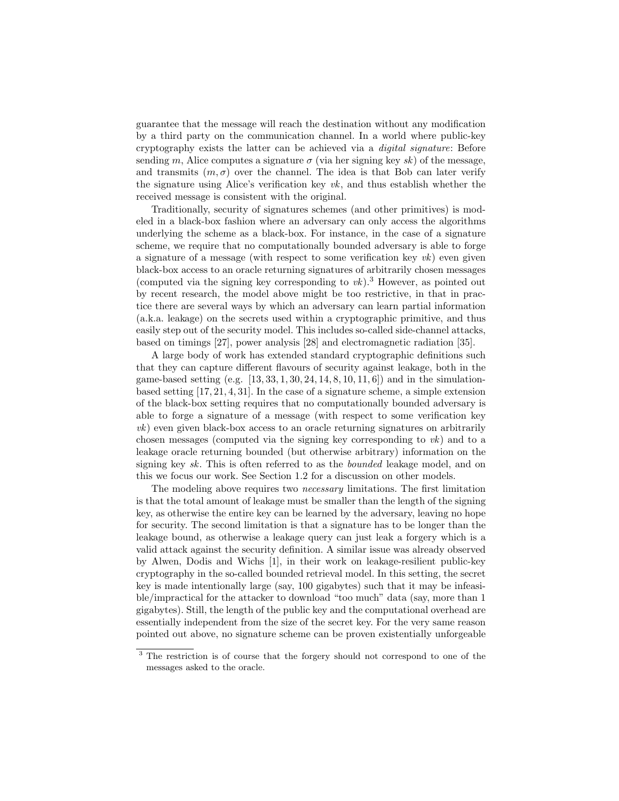guarantee that the message will reach the destination without any modification by a third party on the communication channel. In a world where public-key cryptography exists the latter can be achieved via a digital signature: Before sending m, Alice computes a signature  $\sigma$  (via her signing key sk) of the message, and transmits  $(m, \sigma)$  over the channel. The idea is that Bob can later verify the signature using Alice's verification key  $vk$ , and thus establish whether the received message is consistent with the original.

Traditionally, security of signatures schemes (and other primitives) is modeled in a black-box fashion where an adversary can only access the algorithms underlying the scheme as a black-box. For instance, in the case of a signature scheme, we require that no computationally bounded adversary is able to forge a signature of a message (with respect to some verification key  $vk$ ) even given black-box access to an oracle returning signatures of arbitrarily chosen messages (computed via the signing key corresponding to  $vk$ ).<sup>3</sup> However, as pointed out by recent research, the model above might be too restrictive, in that in practice there are several ways by which an adversary can learn partial information (a.k.a. leakage) on the secrets used within a cryptographic primitive, and thus easily step out of the security model. This includes so-called side-channel attacks, based on timings [27], power analysis [28] and electromagnetic radiation [35].

A large body of work has extended standard cryptographic definitions such that they can capture different flavours of security against leakage, both in the game-based setting (e.g.  $[13, 33, 1, 30, 24, 14, 8, 10, 11, 6]$ ) and in the simulationbased setting [17, 21, 4, 31]. In the case of a signature scheme, a simple extension of the black-box setting requires that no computationally bounded adversary is able to forge a signature of a message (with respect to some verification key vk) even given black-box access to an oracle returning signatures on arbitrarily chosen messages (computed via the signing key corresponding to vk) and to a leakage oracle returning bounded (but otherwise arbitrary) information on the signing key sk. This is often referred to as the bounded leakage model, and on this we focus our work. See Section 1.2 for a discussion on other models.

The modeling above requires two necessary limitations. The first limitation is that the total amount of leakage must be smaller than the length of the signing key, as otherwise the entire key can be learned by the adversary, leaving no hope for security. The second limitation is that a signature has to be longer than the leakage bound, as otherwise a leakage query can just leak a forgery which is a valid attack against the security definition. A similar issue was already observed by Alwen, Dodis and Wichs [1], in their work on leakage-resilient public-key cryptography in the so-called bounded retrieval model. In this setting, the secret key is made intentionally large (say, 100 gigabytes) such that it may be infeasible/impractical for the attacker to download "too much" data (say, more than 1 gigabytes). Still, the length of the public key and the computational overhead are essentially independent from the size of the secret key. For the very same reason pointed out above, no signature scheme can be proven existentially unforgeable

<sup>&</sup>lt;sup>3</sup> The restriction is of course that the forgery should not correspond to one of the messages asked to the oracle.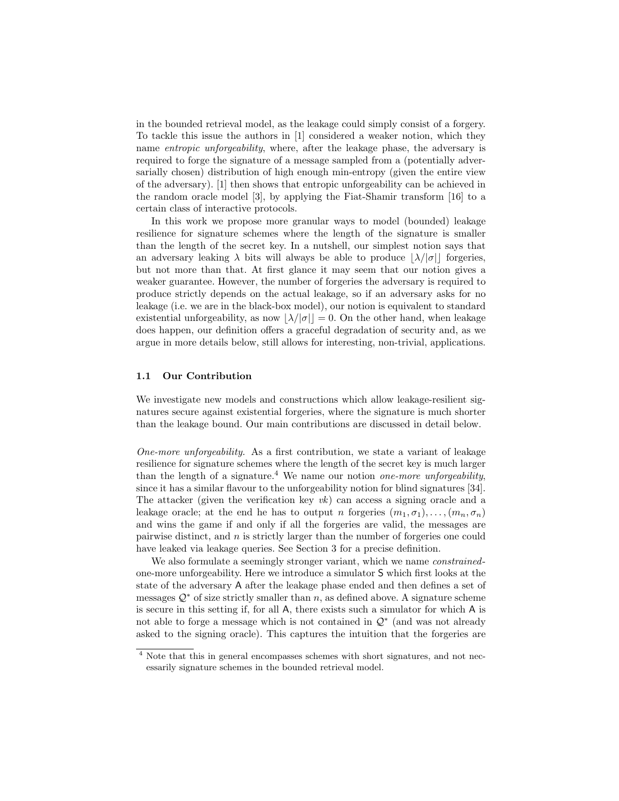in the bounded retrieval model, as the leakage could simply consist of a forgery. To tackle this issue the authors in [1] considered a weaker notion, which they name entropic unforgeability, where, after the leakage phase, the adversary is required to forge the signature of a message sampled from a (potentially adversarially chosen) distribution of high enough min-entropy (given the entire view of the adversary). [1] then shows that entropic unforgeability can be achieved in the random oracle model [3], by applying the Fiat-Shamir transform [16] to a certain class of interactive protocols.

In this work we propose more granular ways to model (bounded) leakage resilience for signature schemes where the length of the signature is smaller than the length of the secret key. In a nutshell, our simplest notion says that an adversary leaking  $\lambda$  bits will always be able to produce  $|\lambda/|\sigma|$  forgeries, but not more than that. At first glance it may seem that our notion gives a weaker guarantee. However, the number of forgeries the adversary is required to produce strictly depends on the actual leakage, so if an adversary asks for no leakage (i.e. we are in the black-box model), our notion is equivalent to standard existential unforgeability, as now  $|\lambda/|\sigma||=0$ . On the other hand, when leakage does happen, our definition offers a graceful degradation of security and, as we argue in more details below, still allows for interesting, non-trivial, applications.

#### 1.1 Our Contribution

We investigate new models and constructions which allow leakage-resilient signatures secure against existential forgeries, where the signature is much shorter than the leakage bound. Our main contributions are discussed in detail below.

One-more unforgeability. As a first contribution, we state a variant of leakage resilience for signature schemes where the length of the secret key is much larger than the length of a signature.<sup>4</sup> We name our notion *one-more unforgeability*, since it has a similar flavour to the unforgeability notion for blind signatures [34]. The attacker (given the verification key  $vk$ ) can access a signing oracle and a leakage oracle; at the end he has to output n forgeries  $(m_1, \sigma_1), \ldots, (m_n, \sigma_n)$ and wins the game if and only if all the forgeries are valid, the messages are pairwise distinct, and  $n$  is strictly larger than the number of forgeries one could have leaked via leakage queries. See Section 3 for a precise definition.

We also formulate a seemingly stronger variant, which we name *constrained*one-more unforgeability. Here we introduce a simulator S which first looks at the state of the adversary A after the leakage phase ended and then defines a set of messages  $\mathcal{Q}^*$  of size strictly smaller than n, as defined above. A signature scheme is secure in this setting if, for all A, there exists such a simulator for which A is not able to forge a message which is not contained in  $\mathcal{Q}^*$  (and was not already asked to the signing oracle). This captures the intuition that the forgeries are

<sup>4</sup> Note that this in general encompasses schemes with short signatures, and not necessarily signature schemes in the bounded retrieval model.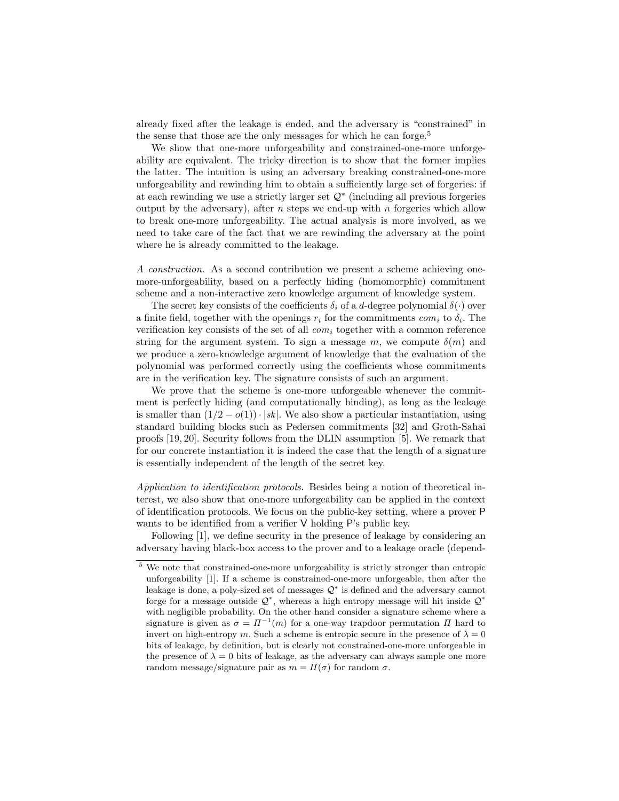already fixed after the leakage is ended, and the adversary is "constrained" in the sense that those are the only messages for which he can forge.<sup>5</sup>

We show that one-more unforgeability and constrained-one-more unforgeability are equivalent. The tricky direction is to show that the former implies the latter. The intuition is using an adversary breaking constrained-one-more unforgeability and rewinding him to obtain a sufficiently large set of forgeries: if at each rewinding we use a strictly larger set  $\mathcal{Q}^*$  (including all previous forgeries output by the adversary), after n steps we end-up with n forgeries which allow to break one-more unforgeability. The actual analysis is more involved, as we need to take care of the fact that we are rewinding the adversary at the point where he is already committed to the leakage.

A construction. As a second contribution we present a scheme achieving onemore-unforgeability, based on a perfectly hiding (homomorphic) commitment scheme and a non-interactive zero knowledge argument of knowledge system.

The secret key consists of the coefficients  $\delta_i$  of a d-degree polynomial  $\delta(\cdot)$  over a finite field, together with the openings  $r_i$  for the commitments  $com_i$  to  $\delta_i$ . The verification key consists of the set of all  $com_i$  together with a common reference string for the argument system. To sign a message m, we compute  $\delta(m)$  and we produce a zero-knowledge argument of knowledge that the evaluation of the polynomial was performed correctly using the coefficients whose commitments are in the verification key. The signature consists of such an argument.

We prove that the scheme is one-more unforgeable whenever the commitment is perfectly hiding (and computationally binding), as long as the leakage is smaller than  $(1/2 - o(1)) \cdot |sk|$ . We also show a particular instantiation, using standard building blocks such as Pedersen commitments [32] and Groth-Sahai proofs [19, 20]. Security follows from the DLIN assumption [5]. We remark that for our concrete instantiation it is indeed the case that the length of a signature is essentially independent of the length of the secret key.

Application to identification protocols. Besides being a notion of theoretical interest, we also show that one-more unforgeability can be applied in the context of identification protocols. We focus on the public-key setting, where a prover P wants to be identified from a verifier V holding P's public key.

Following [1], we define security in the presence of leakage by considering an adversary having black-box access to the prover and to a leakage oracle (depend-

<sup>5</sup> We note that constrained-one-more unforgeability is strictly stronger than entropic unforgeability [1]. If a scheme is constrained-one-more unforgeable, then after the leakage is done, a poly-sized set of messages  $\mathcal{Q}^*$  is defined and the adversary cannot forge for a message outside  $\mathcal{Q}^*$ , whereas a high entropy message will hit inside  $\mathcal{Q}^*$ with negligible probability. On the other hand consider a signature scheme where a signature is given as  $\sigma = \Pi^{-1}(m)$  for a one-way trapdoor permutation  $\Pi$  hard to invert on high-entropy m. Such a scheme is entropic secure in the presence of  $\lambda = 0$ bits of leakage, by definition, but is clearly not constrained-one-more unforgeable in the presence of  $\lambda = 0$  bits of leakage, as the adversary can always sample one more random message/signature pair as  $m = \Pi(\sigma)$  for random  $\sigma$ .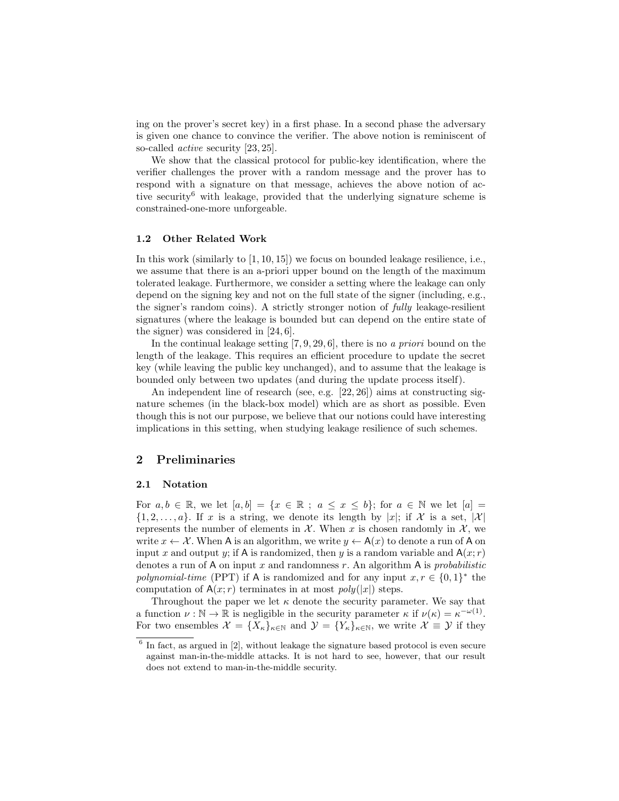ing on the prover's secret key) in a first phase. In a second phase the adversary is given one chance to convince the verifier. The above notion is reminiscent of so-called active security [23, 25].

We show that the classical protocol for public-key identification, where the verifier challenges the prover with a random message and the prover has to respond with a signature on that message, achieves the above notion of active security<sup>6</sup> with leakage, provided that the underlying signature scheme is constrained-one-more unforgeable.

#### 1.2 Other Related Work

In this work (similarly to [1, 10, 15]) we focus on bounded leakage resilience, i.e., we assume that there is an a-priori upper bound on the length of the maximum tolerated leakage. Furthermore, we consider a setting where the leakage can only depend on the signing key and not on the full state of the signer (including, e.g., the signer's random coins). A strictly stronger notion of fully leakage-resilient signatures (where the leakage is bounded but can depend on the entire state of the signer) was considered in [24, 6].

In the continual leakage setting  $[7, 9, 29, 6]$ , there is no a priori bound on the length of the leakage. This requires an efficient procedure to update the secret key (while leaving the public key unchanged), and to assume that the leakage is bounded only between two updates (and during the update process itself).

An independent line of research (see, e.g. [22, 26]) aims at constructing signature schemes (in the black-box model) which are as short as possible. Even though this is not our purpose, we believe that our notions could have interesting implications in this setting, when studying leakage resilience of such schemes.

## 2 Preliminaries

#### 2.1 Notation

For  $a, b \in \mathbb{R}$ , we let  $[a, b] = \{x \in \mathbb{R} : a \leq x \leq b\}$ ; for  $a \in \mathbb{N}$  we let  $[a] =$  $\{1, 2, \ldots, a\}$ . If x is a string, we denote its length by  $|x|$ ; if X is a set,  $|\mathcal{X}|$ represents the number of elements in  $\mathcal{X}$ . When x is chosen randomly in  $\mathcal{X}$ , we write  $x \leftarrow \mathcal{X}$ . When A is an algorithm, we write  $y \leftarrow A(x)$  to denote a run of A on input x and output y; if A is randomized, then y is a random variable and  $A(x; r)$ denotes a run of A on input x and randomness r. An algorithm A is *probabilistic* polynomial-time (PPT) if A is randomized and for any input  $x, r \in \{0, 1\}^*$  the computation of  $A(x; r)$  terminates in at most  $poly(|x|)$  steps.

Throughout the paper we let  $\kappa$  denote the security parameter. We say that a function  $\nu : \mathbb{N} \to \mathbb{R}$  is negligible in the security parameter  $\kappa$  if  $\nu(\kappa) = \kappa^{-\omega(1)}$ . For two ensembles  $\mathcal{X} = \{X_{\kappa}\}_{{\kappa} \in \mathbb{N}}$  and  $\mathcal{Y} = \{Y_{\kappa}\}_{{\kappa} \in \mathbb{N}}$ , we write  $\mathcal{X} \equiv \mathcal{Y}$  if they

<sup>&</sup>lt;sup>6</sup> In fact, as argued in [2], without leakage the signature based protocol is even secure against man-in-the-middle attacks. It is not hard to see, however, that our result does not extend to man-in-the-middle security.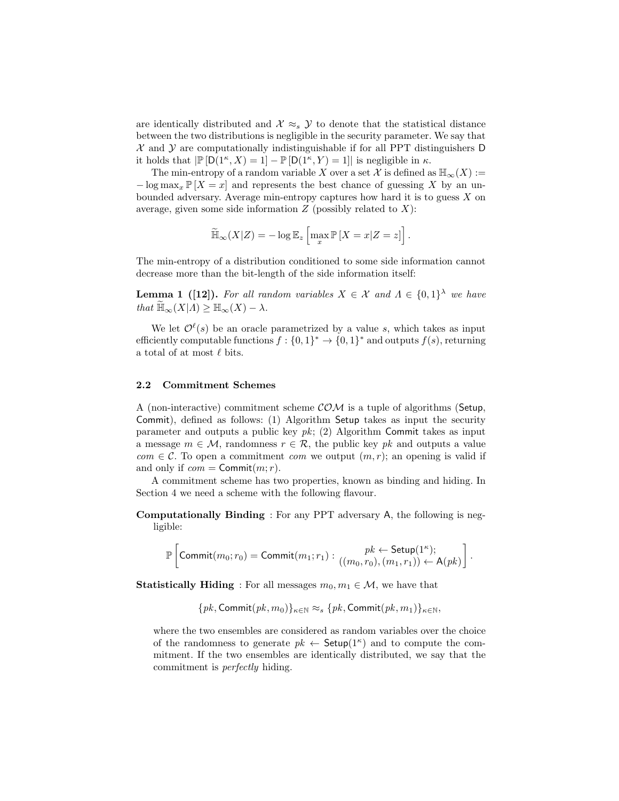are identically distributed and  $\mathcal{X} \approx_s \mathcal{Y}$  to denote that the statistical distance between the two distributions is negligible in the security parameter. We say that  $\mathcal X$  and  $\mathcal Y$  are computationally indistinguishable if for all PPT distinguishers D it holds that  $\mathbb{P}[D(1^{\kappa}, X) = 1] - \mathbb{P}[D(1^{\kappa}, Y) = 1]$  is negligible in  $\kappa$ .

The min-entropy of a random variable X over a set X is defined as  $\mathbb{H}_{\infty}(X) :=$  $-\log \max_x \mathbb{P}[X=x]$  and represents the best chance of guessing X by an unbounded adversary. Average min-entropy captures how hard it is to guess X on average, given some side information  $Z$  (possibly related to  $X$ ):

$$
\widetilde{\mathbb{H}}_{\infty}(X|Z) = -\log \mathbb{E}_z \left[ \max_x \mathbb{P} \left[ X = x | Z = z \right] \right].
$$

The min-entropy of a distribution conditioned to some side information cannot decrease more than the bit-length of the side information itself:

**Lemma 1** ([12]). For all random variables  $X \in \mathcal{X}$  and  $\Lambda \in \{0,1\}^{\lambda}$  we have that  $\mathbb{H}_{\infty}(X|\Lambda) \geq \mathbb{H}_{\infty}(X) - \lambda$ .

We let  $\mathcal{O}^{\ell}(s)$  be an oracle parametrized by a value s, which takes as input efficiently computable functions  $f: \{0,1\}^* \to \{0,1\}^*$  and outputs  $f(s)$ , returning a total of at most  $\ell$  bits.

## 2.2 Commitment Schemes

A (non-interactive) commitment scheme  $COM$  is a tuple of algorithms (Setup, Commit), defined as follows: (1) Algorithm Setup takes as input the security parameter and outputs a public key  $pk$ ; (2) Algorithm Commit takes as input a message  $m \in \mathcal{M}$ , randomness  $r \in \mathcal{R}$ , the public key pk and outputs a value  $com \in \mathcal{C}$ . To open a commitment *com* we output  $(m, r)$ ; an opening is valid if and only if  $com = \text{Commit}(m; r)$ .

A commitment scheme has two properties, known as binding and hiding. In Section 4 we need a scheme with the following flavour.

Computationally Binding : For any PPT adversary A, the following is negligible:

$$
\mathbb{P}\left[\mathsf{Commit}(m_0;r_0) = \mathsf{Commit}(m_1;r_1): \frac{pk \leftarrow \mathsf{Setup}(1^\kappa);}{((m_0,r_0),(m_1,r_1)) \leftarrow \mathsf{A}(pk)}\right].
$$

**Statistically Hiding** : For all messages  $m_0, m_1 \in \mathcal{M}$ , we have that

$$
\{pk, \textsf{Commit}(pk, m_0)\}_{\kappa \in \mathbb{N}} \approx_s \{pk, \textsf{Commit}(pk, m_1)\}_{\kappa \in \mathbb{N}},
$$

where the two ensembles are considered as random variables over the choice of the randomness to generate  $pk \leftarrow$  Setup(1<sup> $\kappa$ </sup>) and to compute the commitment. If the two ensembles are identically distributed, we say that the commitment is perfectly hiding.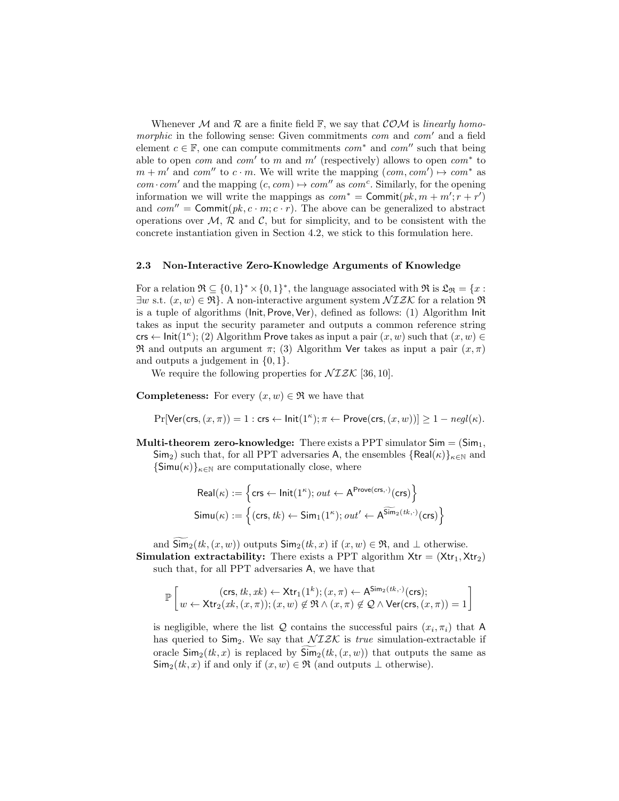Whenever M and R are a finite field F, we say that  $COM$  is linearly homomorphic in the following sense: Given commitments  $com$  and  $com'$  and a field element  $c \in \mathbb{F}$ , one can compute commitments  $com^*$  and  $com''$  such that being able to open *com* and *com'* to m and m' (respectively) allows to open  $com^*$  to  $m + m'$  and com<sup>''</sup> to  $c \cdot m$ . We will write the mapping  $(\text{com}, \text{com}') \mapsto \text{com}^*$  as  $com \cdot com'$  and the mapping  $(c, com) \mapsto com''$  as  $com^c$ . Similarly, for the opening information we will write the mappings as  $com^* = \text{Commit}(pk, m + m'; r + r')$ and  $com'' = \text{Commit}(pk, c \cdot m; c \cdot r)$ . The above can be generalized to abstract operations over  $\mathcal{M}, \mathcal{R}$  and  $\mathcal{C}$ , but for simplicity, and to be consistent with the concrete instantiation given in Section 4.2, we stick to this formulation here.

## 2.3 Non-Interactive Zero-Knowledge Arguments of Knowledge

For a relation  $\Re \subseteq \{0,1\}^* \times \{0,1\}^*$ , the language associated with  $\Re$  is  $\mathfrak{L}_{\Re} = \{x :$  $\exists w \text{ s.t. } (x, w) \in \mathfrak{R}$ . A non-interactive argument system  $\mathcal{NIZK}$  for a relation  $\mathfrak{R}$ is a tuple of algorithms (Init, Prove, Ver), defined as follows: (1) Algorithm Init takes as input the security parameter and outputs a common reference string crs  $\leftarrow$  Init(1<sup> $\kappa$ </sup>); (2) Algorithm Prove takes as input a pair  $(x, w)$  such that  $(x, w) \in$ **R** and outputs an argument  $\pi$ ; (3) Algorithm Ver takes as input a pair  $(x, \pi)$ and outputs a judgement in  $\{0, 1\}.$ 

We require the following properties for  $\mathcal{NIZK}$  [36, 10].

**Completeness:** For every  $(x, w) \in \mathbb{R}$  we have that

$$
\Pr[\text{Ver}(\text{crs}, (x, \pi)) = 1 : \text{crs} \leftarrow \text{Init}(1^{\kappa}); \pi \leftarrow \text{Prove}(\text{crs}, (x, w))] \ge 1 - negl(\kappa).
$$

**Multi-theorem zero-knowledge:** There exists a PPT simulator  $Sim = (Sim_1,$  $\textsf{Sim}_2$ ) such that, for all PPT adversaries A, the ensembles  $\{\textsf{Real}(\kappa)\}_{\kappa \in \mathbb{N}}$  and  ${\sf Simu}(\kappa)\}_{\kappa \in \mathbb{N}}$  are computationally close, where

$$
Real(\kappa) := \left\{ \operatorname{crs} \leftarrow \operatorname{Init}(1^{\kappa}); out \leftarrow A^{\text{Prove}(\text{crs}, \cdot)}(\text{crs}) \right\}
$$
\n
$$
Simu(\kappa) := \left\{ (\operatorname{crs}, tk) \leftarrow Sim_1(1^{\kappa}); out' \leftarrow A^{\widetilde{\text{Sim}}_2(tk, \cdot)}(\text{crs}) \right\}
$$

and  $\widetilde{\mathsf{Sim}}_2(tk,(x,w))$  outputs  $\mathsf{Sim}_2(tk,x)$  if  $(x,w) \in \mathfrak{R}$ , and  $\perp$  otherwise. **Simulation extractability:** There exists a PPT algorithm  $X$ tr =  $(Xtr_1, Xtr_2)$ 

such that, for all PPT adversaries A, we have that

$$
\mathbb{P}\left[\underset{w}{w \leftarrow \text{Xtr}_{2}(x k, (x,\pi))}; (x,w) \notin \mathfrak{R} \land (x,\pi) \leftarrow \text{A}^{\text{Sim}_{2}(t k, \cdot)}(\text{crs}); \\ (w \leftarrow \text{Xtr}_{2}(x k, (x,\pi)); (x,w) \notin \mathfrak{R} \land (x,\pi) \notin \mathcal{Q} \land \text{Ver}(\text{crs}, (x,\pi)) = 1\right]\right]
$$

is negligible, where the list  $Q$  contains the successful pairs  $(x_i, \pi_i)$  that A has queried to  $\text{Sim}_2$ . We say that  $\mathcal{NIZK}$  is *true* simulation-extractable if oracle  $\mathsf{Sim}_2(\mathfrak{k}, x)$  is replaced by  $\mathsf{Sim}_2(\mathfrak{k}, (x, w))$  that outputs the same as  $\mathsf{Sim}_2(\mathit{tk}, x)$  if and only if  $(x, w) \in \mathfrak{R}$  (and outputs  $\perp$  otherwise).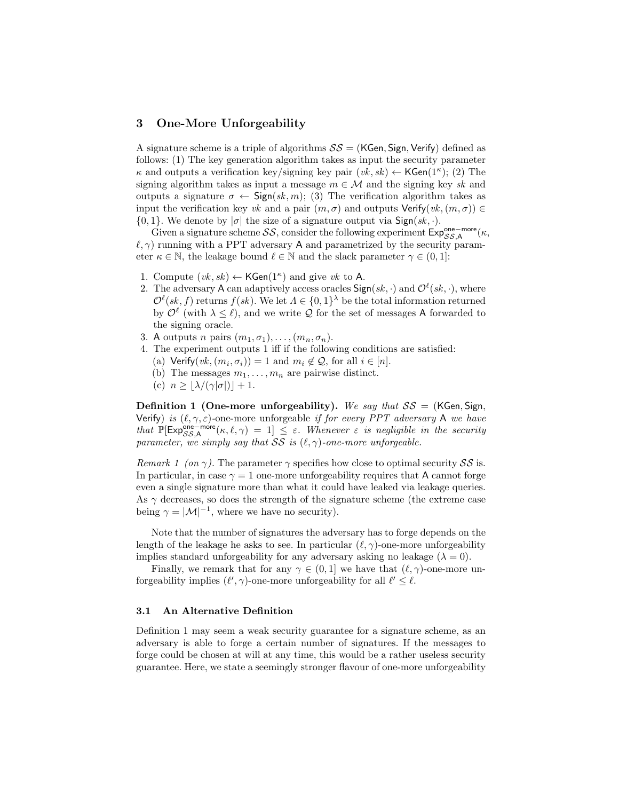## 3 One-More Unforgeability

A signature scheme is a triple of algorithms  $SS = (KGen, Sign, Verify)$  defined as follows: (1) The key generation algorithm takes as input the security parameter  $\kappa$  and outputs a verification key/signing key pair  $(vk, sk) \leftarrow \mathsf{KGen}(1^{\kappa});$  (2) The signing algorithm takes as input a message  $m \in \mathcal{M}$  and the signing key sk and outputs a signature  $\sigma \leftarrow \text{Sign}(sk, m)$ ; (3) The verification algorithm takes as input the verification key vk and a pair  $(m, \sigma)$  and outputs Verify $(vk, (m, \sigma)) \in$  $\{0, 1\}$ . We denote by  $|\sigma|$  the size of a signature output via Sign $(sk, \cdot)$ .

Given a signature scheme  $SS$ , consider the following experiment  $Exp_{SS,A}^{\text{one}-\text{more}}(\kappa,$  $\ell, \gamma$ ) running with a PPT adversary A and parametrized by the security parameter  $\kappa \in \mathbb{N}$ , the leakage bound  $\ell \in \mathbb{N}$  and the slack parameter  $\gamma \in (0, 1]$ :

- 1. Compute  $(vk, sk) \leftarrow \mathsf{KGen}(1^{\kappa})$  and give vk to A.
- 2. The adversary A can adaptively access oracles  $\mathsf{Sign}(sk, \cdot)$  and  $\mathcal{O}^{\ell}(sk, \cdot)$ , where  $\mathcal{O}^{\ell}(sk, f)$  returns  $f(sk)$ . We let  $\Lambda \in \{0,1\}^{\lambda}$  be the total information returned by  $\mathcal{O}^{\ell}$  (with  $\lambda \leq \ell$ ), and we write  $\mathcal Q$  for the set of messages A forwarded to the signing oracle.
- 3. A outputs n pairs  $(m_1, \sigma_1), \ldots, (m_n, \sigma_n)$ .
- 4. The experiment outputs 1 iff if the following conditions are satisfied:
	- (a) Verify $(vk, (m_i, \sigma_i)) = 1$  and  $m_i \notin \mathcal{Q}$ , for all  $i \in [n]$ .
	- (b) The messages  $m_1, \ldots, m_n$  are pairwise distinct.
	- (c)  $n \geq |\lambda/(\gamma|\sigma|)| + 1.$

**Definition 1 (One-more unforgeability).** We say that  $SS = (KGen, Sign,$ Verify) is  $(\ell, \gamma, \varepsilon)$ -one-more unforgeable if for every PPT adversary A we have that  $\mathbb{P}[\mathsf{Exp}_{SS,A}^{\mathsf{one}-\mathsf{more}}(\kappa,\ell,\gamma) = 1] \leq \varepsilon$ . Whenever  $\varepsilon$  is negligible in the security parameter, we simply say that SS is  $(\ell, \gamma)$ -one-more unforgeable.

Remark 1 (on  $\gamma$ ). The parameter  $\gamma$  specifies how close to optimal security SS is. In particular, in case  $\gamma = 1$  one-more unforgeability requires that A cannot forge even a single signature more than what it could have leaked via leakage queries. As  $\gamma$  decreases, so does the strength of the signature scheme (the extreme case being  $\gamma = |\mathcal{M}|^{-1}$ , where we have no security).

Note that the number of signatures the adversary has to forge depends on the length of the leakage he asks to see. In particular  $(\ell, \gamma)$ -one-more unforgeability implies standard unforgeability for any adversary asking no leakage  $(\lambda = 0)$ .

Finally, we remark that for any  $\gamma \in (0,1]$  we have that  $(\ell, \gamma)$ -one-more unforgeability implies  $(\ell', \gamma)$ -one-more unforgeability for all  $\ell' \leq \ell$ .

#### 3.1 An Alternative Definition

Definition 1 may seem a weak security guarantee for a signature scheme, as an adversary is able to forge a certain number of signatures. If the messages to forge could be chosen at will at any time, this would be a rather useless security guarantee. Here, we state a seemingly stronger flavour of one-more unforgeability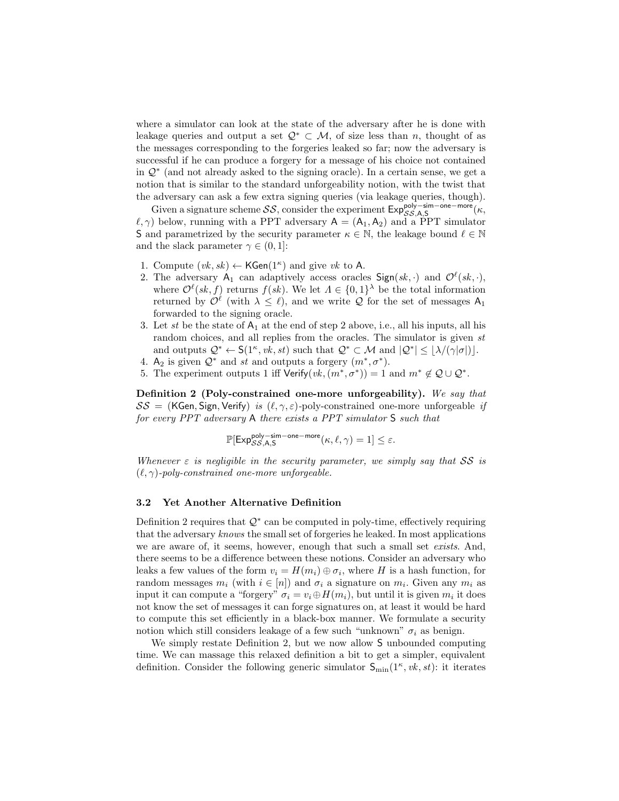where a simulator can look at the state of the adversary after he is done with leakage queries and output a set  $\mathcal{Q}^* \subset \mathcal{M}$ , of size less than n, thought of as the messages corresponding to the forgeries leaked so far; now the adversary is successful if he can produce a forgery for a message of his choice not contained in Q<sup>∗</sup> (and not already asked to the signing oracle). In a certain sense, we get a notion that is similar to the standard unforgeability notion, with the twist that the adversary can ask a few extra signing queries (via leakage queries, though).

Given a signature scheme  $SS$ , consider the experiment  $\mathsf{Exp}_{SS,A,S}^{\mathsf{poly-sim-one-more}}(\kappa,$  $(\ell, \gamma)$  below, running with a PPT adversary  $A = (A_1, A_2)$  and a PPT simulator S and parametrized by the security parameter  $\kappa \in \mathbb{N}$ , the leakage bound  $\ell \in \mathbb{N}$ and the slack parameter  $\gamma \in (0, 1]$ :

- 1. Compute  $(vk, sk) \leftarrow \mathsf{KGen}(1^{\kappa})$  and give vk to A.
- 2. The adversary  $A_1$  can adaptively access oracles  $Sign(s_k, \cdot)$  and  $\mathcal{O}^{\ell}(sk, \cdot)$ , where  $\mathcal{O}^{\ell}(sk, f)$  returns  $f(sk)$ . We let  $\Lambda \in \{0,1\}^{\lambda}$  be the total information returned by  $\mathcal{O}^{\ell}$  (with  $\lambda \leq \ell$ ), and we write  $\mathcal Q$  for the set of messages  $A_1$ forwarded to the signing oracle.
- 3. Let st be the state of  $A_1$  at the end of step 2 above, i.e., all his inputs, all his random choices, and all replies from the oracles. The simulator is given st and outputs  $\mathcal{Q}^* \leftarrow \mathsf{S}(1^{\kappa}, v k, st)$  such that  $\mathcal{Q}^* \subset \mathcal{M}$  and  $|\mathcal{Q}^*| \leq |\lambda/(\gamma|\sigma|)|$ .
- 4. A<sub>2</sub> is given  $\mathcal{Q}^*$  and st and outputs a forgery  $(m^*, \sigma^*)$ .
- 5. The experiment outputs 1 iff Verify $(vk, (m^*, \sigma^*)) = 1$  and  $m^* \notin Q \cup Q^*$ .

Definition 2 (Poly-constrained one-more unforgeability). We say that  $SS = (KGen, Sign, Verify)$  is  $(\ell, \gamma, \varepsilon)$ -poly-constrained one-more unforgeable if for every PPT adversary A there exists a PPT simulator S such that

$$
\mathbb{P}[\mathrm{Exp}^{\mathrm{poly-sim-one-more}}_{\mathcal{SS},\mathsf{A},\mathsf{S}}(\kappa,\ell,\gamma)=1]\leq \varepsilon.
$$

Whenever  $\varepsilon$  is negligible in the security parameter, we simply say that SS is  $(\ell, \gamma)$ -poly-constrained one-more unforgeable.

#### 3.2 Yet Another Alternative Definition

Definition 2 requires that  $\mathcal{Q}^*$  can be computed in poly-time, effectively requiring that the adversary knows the small set of forgeries he leaked. In most applications we are aware of, it seems, however, enough that such a small set exists. And, there seems to be a difference between these notions. Consider an adversary who leaks a few values of the form  $v_i = H(m_i) \oplus \sigma_i$ , where H is a hash function, for random messages  $m_i$  (with  $i \in [n]$ ) and  $\sigma_i$  a signature on  $m_i$ . Given any  $m_i$  as input it can compute a "forgery"  $\sigma_i = v_i \oplus H(m_i)$ , but until it is given  $m_i$  it does not know the set of messages it can forge signatures on, at least it would be hard to compute this set efficiently in a black-box manner. We formulate a security notion which still considers leakage of a few such "unknown"  $\sigma_i$  as benign.

We simply restate Definition 2, but we now allow S unbounded computing time. We can massage this relaxed definition a bit to get a simpler, equivalent definition. Consider the following generic simulator  $S_{\min}(1^{\kappa}, vk,st)$ : it iterates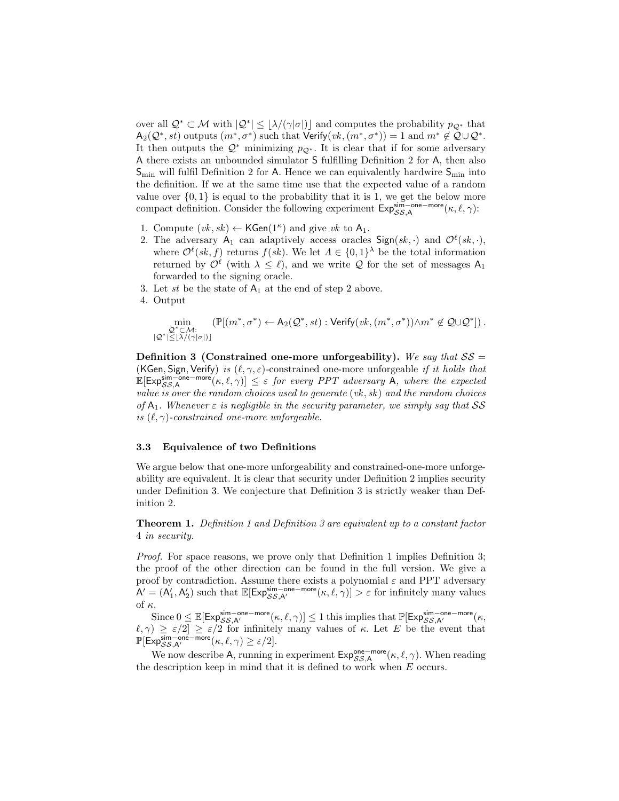over all  $\mathcal{Q}^* \subset \mathcal{M}$  with  $|\mathcal{Q}^*| \leq \lfloor \lambda/(\gamma|\sigma|) \rfloor$  and computes the probability  $p_{\mathcal{Q}^*}$  that  $\mathsf{A}_2(\mathcal{Q}^*, st)$  outputs  $(m^*, \sigma^*)$  such that  $\mathsf{Verify}(vk, (m^*, \sigma^*)) = 1$  and  $m^* \notin \mathcal{Q} \cup \mathcal{Q}^*$ . It then outputs the  $\mathcal{Q}^*$  minimizing  $p_{\mathcal{Q}^*}$ . It is clear that if for some adversary A there exists an unbounded simulator S fulfilling Definition 2 for A, then also  $S_{\text{min}}$  will fulfil Definition 2 for A. Hence we can equivalently hardwire  $S_{\text{min}}$  into the definition. If we at the same time use that the expected value of a random value over  $\{0, 1\}$  is equal to the probability that it is 1, we get the below more compact definition. Consider the following experiment  $Exp_{SS,A}^{\text{sim-one}-\text{more}}(\kappa, \ell, \gamma)$ :

- 1. Compute  $(vk, sk) \leftarrow \mathsf{KGen}(1^{\kappa})$  and give  $vk$  to  $\mathsf{A}_1$ .
- 2. The adversary  $A_1$  can adaptively access oracles  $Sign(s_k, \cdot)$  and  $\mathcal{O}^{\ell}(sk, \cdot)$ , where  $\mathcal{O}^{\ell}(sk, f)$  returns  $f(sk)$ . We let  $\Lambda \in \{0,1\}^{\lambda}$  be the total information returned by  $\mathcal{O}^{\ell}$  (with  $\lambda \leq \ell$ ), and we write  $\mathcal Q$  for the set of messages  $A_1$ forwarded to the signing oracle.
- 3. Let st be the state of  $A_1$  at the end of step 2 above.
- 4. Output

$$
\min_{\substack{\mathcal{Q}^*\subset \mathcal{M}:\\ |\mathcal{Q}^*|\leq \lfloor \lambda/(\gamma|\sigma|\rfloor)}}\left(\mathbb{P}[(m^*,\sigma^*) \leftarrow A_2(\mathcal{Q}^*,st): \text{Verify}(vk,(m^*,\sigma^*)) \wedge m^* \notin \mathcal{Q} \cup \mathcal{Q}^*]\right).
$$

Definition 3 (Constrained one-more unforgeability). We say that  $SS =$ (KGen, Sign, Verify) is  $(\ell, \gamma, \varepsilon)$ -constrained one-more unforgeable if it holds that  $\mathbb{E}[\mathsf{Exp}_{SS,A}^{\mathsf{sim}-\mathsf{one}-\mathsf{more}}(\kappa,\ell,\gamma)] \leq \varepsilon$  for every PPT adversary A, where the expected value is over the random choices used to generate  $(vk, sk)$  and the random choices of  $A_1$ . Whenever  $\varepsilon$  is negligible in the security parameter, we simply say that SS is  $(\ell, \gamma)$ -constrained one-more unforgeable.

#### 3.3 Equivalence of two Definitions

We argue below that one-more unforgeability and constrained-one-more unforgeability are equivalent. It is clear that security under Definition 2 implies security under Definition 3. We conjecture that Definition 3 is strictly weaker than Definition 2.

Theorem 1. Definition 1 and Definition 3 are equivalent up to a constant factor 4 in security.

Proof. For space reasons, we prove only that Definition 1 implies Definition 3; the proof of the other direction can be found in the full version. We give a proof by contradiction. Assume there exists a polynomial  $\varepsilon$  and PPT adversary  $A' = (A'_1, A'_2)$  such that  $\mathbb{E}[\text{Exp}_{SS,A'}^{\text{sim-one-more}}(\kappa, \ell, \gamma)] > \varepsilon$  for infinitely many values of  $\kappa$ .

Since  $0 \leq \mathbb{E}[\mathsf{Exp}^{\mathsf{sim-one}-\mathsf{more}}_{\mathcal{SS},\mathsf{A}'}(\kappa,\ell,\gamma)] \leq 1$  this implies that  $\mathbb{P}[\mathsf{Exp}^{\mathsf{sim-one}-\mathsf{more}}_{\mathcal{SS},\mathsf{A}'}(\kappa,\ell,\gamma)]$  $(\ell, \gamma) \geq \varepsilon/2 \geq \varepsilon/2$  for infinitely many values of  $\kappa$ . Let E be the event that  $\mathbb{P}[\mathsf{Exp}_{\mathcal{SS},\mathsf{A}'}^{\mathsf{sim-one}-\mathsf{more}}(\kappa,\ell,\gamma) \geq \varepsilon/2].$ 

We now describe A, running in experiment  $Exp_{SS,A}^{\text{one}-\text{more}}(\kappa,\ell,\gamma)$ . When reading the description keep in mind that it is defined to work when  $E$  occurs.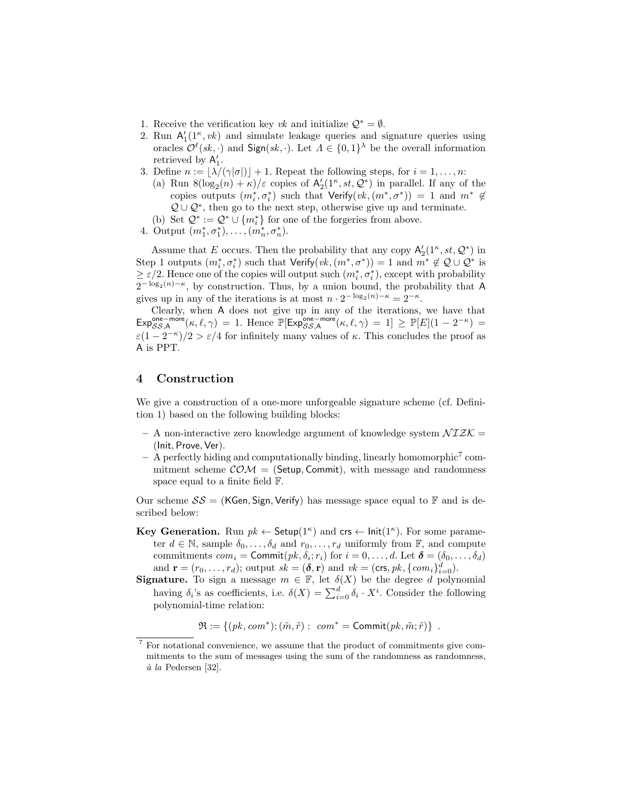- 1. Receive the verification key vk and initialize  $\mathcal{Q}^* = \emptyset$ .
- 2. Run  $A'_1(1^{\kappa}, v_k)$  and simulate leakage queries and signature queries using oracles  $\mathcal{O}^{\ell}(sk, \cdot)$  and  $\text{Sign}(sk, \cdot)$ . Let  $\Lambda \in \{0,1\}^{\lambda}$  be the overall information retrieved by  $A'_1$ .
- 3. Define  $n := \lfloor \lambda/(\gamma|\sigma|) \rfloor + 1$ . Repeat the following steps, for  $i = 1, \ldots, n$ :
	- (a) Run  $8(\log_2(n) + \kappa)/\varepsilon$  copies of  $\mathsf{A}'_2(1^{\kappa}, st, \mathcal{Q}^*)$  in parallel. If any of the copies outputs  $(m_i^*, \sigma_i^*)$  such that  $Verify(vk, (m^*, \sigma^*)) = 1$  and  $m^* \notin$  $\mathcal{Q} \cup \mathcal{Q}^*$ , then go to the next step, otherwise give up and terminate. (b) Set  $\mathcal{Q}^*:=\mathcal{Q}^*\cup\{m_i^*\}$  for one of the forgeries from above.
- 4. Output  $(m_1^*, \sigma_1^*), \ldots, (m_n^*, \sigma_n^*)$ .

Assume that E occurs. Then the probability that any copy  $\mathsf{A}'_2(1^{\kappa}, st, \mathcal{Q}^*)$  in Step 1 outputs  $(m_i^*, \sigma_i^*)$  such that  $Verify(vk, (m^*, \sigma^*)) = 1$  and  $m^* \notin \mathcal{Q} \cup \mathcal{Q}^*$  is  $\geq \varepsilon/2$ . Hence one of the copies will output such  $(m_i^*, \sigma_i^*)$ , except with probability  $2^{-\log_2(n)-\kappa}$ , by construction. Thus, by a union bound, the probability that A gives up in any of the iterations is at most  $n \cdot 2^{-\log_2(n)-\kappa} = 2^{-\kappa}$ .

Clearly, when A does not give up in any of the iterations, we have that  $\text{Exp}_{SS,A}^{\text{one}-\text{more}}(\kappa,\ell,\gamma) = 1.$  Hence  $\mathbb{P}[\text{Exp}_{SS,A}^{\text{one}-\text{more}}(\kappa,\ell,\gamma) = 1] \geq \mathbb{P}[E](1 - 2^{-\kappa}) =$  $\varepsilon(1-2^{-\kappa})/2 > \varepsilon/4$  for infinitely many values of  $\kappa$ . This concludes the proof as A is PPT.

# 4 Construction

We give a construction of a one-more unforgeable signature scheme (cf. Definition 1) based on the following building blocks:

- A non-interactive zero knowledge argument of knowledge system  $\mathcal{NIZK} =$ (Init, Prove, Ver).
- A perfectly hiding and computationally binding, linearly homomorphic<sup>7</sup> commitment scheme  $COM = (Setup, Commit)$ , with message and randomness space equal to a finite field F.

Our scheme  $SS = (KGen, Sign, Verify)$  has message space equal to  $\mathbb F$  and is described below:

- **Key Generation.** Run  $pk \leftarrow$  Setup( $1^{\kappa}$ ) and  $\mathsf{crs} \leftarrow \mathsf{Init}(1^{\kappa})$ . For some parameter  $d \in \mathbb{N}$ , sample  $\delta_0, \ldots, \delta_d$  and  $r_0, \ldots, r_d$  uniformly from  $\mathbb{F}$ , and compute commitments  $com_i = \textsf{Commit}(pk, \delta_i; r_i)$  for  $i = 0, \ldots, d$ . Let  $\boldsymbol{\delta} = (\delta_0, \ldots, \delta_d)$ and  $\mathbf{r} = (r_0, \dots, r_d)$ ; output  $sk = (\delta, \mathbf{r})$  and  $vk = (\text{crs}, pk, \{com_i\}_{i=0}^d)$ .
- **Signature.** To sign a message  $m \in \mathbb{F}$ , let  $\delta(X)$  be the degree d polynomial having  $\delta_i$ 's as coefficients, i.e.  $\delta(X) = \sum_{i=0}^d \delta_i \cdot X^i$ . Consider the following polynomial-time relation:

 $\mathfrak{R} := \{ (pk, com^*); (\tilde{m}, \tilde{r}) : com^* = \text{Commit}(pk, \tilde{m}; \tilde{r}) \}$ .

<sup>7</sup> For notational convenience, we assume that the product of commitments give commitments to the sum of messages using the sum of the randomness as randomness,  $\dot{a}$  la Pedersen [32].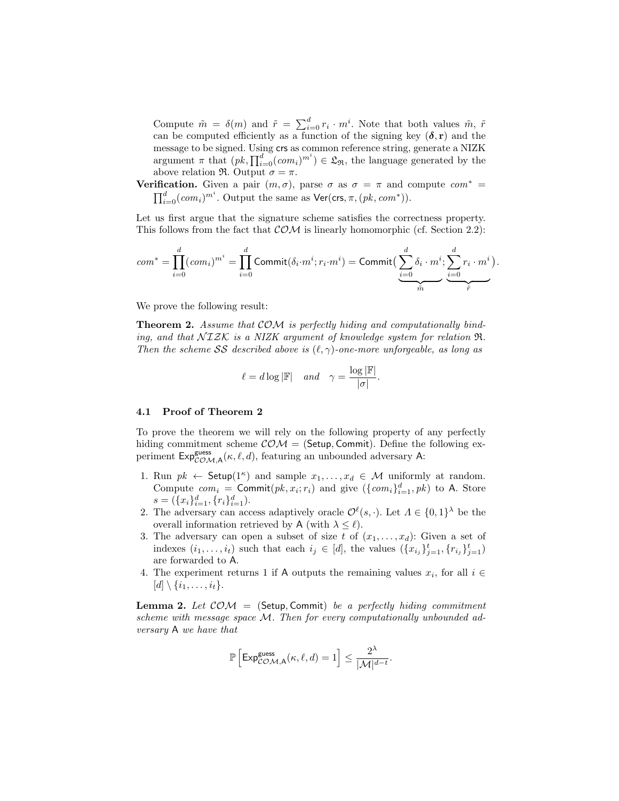Compute  $\tilde{m} = \delta(m)$  and  $\tilde{r} = \sum_{i=0}^{d} r_i \cdot m^i$ . Note that both values  $\tilde{m}$ ,  $\tilde{r}$ can be computed efficiently as a function of the signing key  $(\delta, r)$  and the message to be signed. Using crs as common reference string, generate a NIZK argument  $\pi$  that  $(pk, \prod_{i=0}^{d} (com_i)^{m^i}) \in \mathfrak{L}_{\mathfrak{R}}$ , the language generated by the above relation  $\Re$ . Output  $\sigma = \pi$ .

**Verification.** Given a pair  $(m, \sigma)$ , parse  $\sigma$  as  $\sigma = \pi$  and compute  $com^* =$  $\prod_{i=0}^d (com_i)^{m^i}$ . Output the same as  $\mathsf{Ver}(\mathsf{crs}, \pi, (pk, com^*)).$ 

Let us first argue that the signature scheme satisfies the correctness property. This follows from the fact that  $\mathcal{COM}$  is linearly homomorphic (cf. Section 2.2):

$$
com^* = \prod_{i=0}^d (com_i)^{m^i} = \prod_{i=0}^d \text{Commit}(\delta_i \cdot m^i; r_i \cdot m^i) = \text{Commit} \big(\underbrace{\sum_{i=0}^d \delta_i \cdot m^i}_{\tilde{m}}; \underbrace{\sum_{i=0}^d r_i \cdot m^i}_{\tilde{r}}\big)
$$

.

We prove the following result:

**Theorem 2.** Assume that  $COM$  is perfectly hiding and computationally binding, and that  $\mathcal{NIZK}$  is a NIZK argument of knowledge system for relation  $\Re$ . Then the scheme SS described above is  $(\ell, \gamma)$ -one-more unforgeable, as long as

$$
\ell = d \log |\mathbb{F}| \quad and \quad \gamma = \frac{\log |\mathbb{F}|}{|\sigma|}.
$$

#### 4.1 Proof of Theorem 2

To prove the theorem we will rely on the following property of any perfectly hiding commitment scheme  $COM = (Setup, Commit)$ . Define the following experiment  $Exp_{COM,A}^{\text{guess}}(\kappa, \ell, d)$ , featuring an unbounded adversary A:

- 1. Run  $pk \leftarrow$  Setup(1<sup> $\kappa$ </sup>) and sample  $x_1, \ldots, x_d \in \mathcal{M}$  uniformly at random. Compute  $com_i = \text{Commit}(pk, x_i; r_i)$  and give  $(\{com_i\}_{i=1}^d, pk)$  to A. Store  $s = (\{x_i\}_{i=1}^d, \{r_i\}_{i=1}^d).$
- 2. The adversary can access adaptively oracle  $\mathcal{O}^{\ell}(s, \cdot)$ . Let  $\Lambda \in \{0,1\}^{\lambda}$  be the overall information retrieved by A (with  $\lambda \leq \ell$ ).
- 3. The adversary can open a subset of size t of  $(x_1, \ldots, x_d)$ : Given a set of indexes  $(i_1, \ldots, i_t)$  such that each  $i_j \in [d]$ , the values  $(\{x_{i_j}\}_{j=1}^t, \{r_{i_j}\}_{j=1}^t)$ are forwarded to A.
- 4. The experiment returns 1 if A outputs the remaining values  $x_i$ , for all  $i \in$  $[d] \setminus \{i_1, \ldots, i_t\}.$

**Lemma 2.** Let  $COM = (Setup, Commit)$  be a perfectly hiding commitment scheme with message space M. Then for every computationally unbounded adversary A we have that

$$
\mathbb{P}\left[\text{Exp}_{\mathcal{COM},\mathsf{A}}^{\text{guess}}(\kappa,\ell,d) = 1\right] \le \frac{2^{\lambda}}{|\mathcal{M}|^{d-t}}.
$$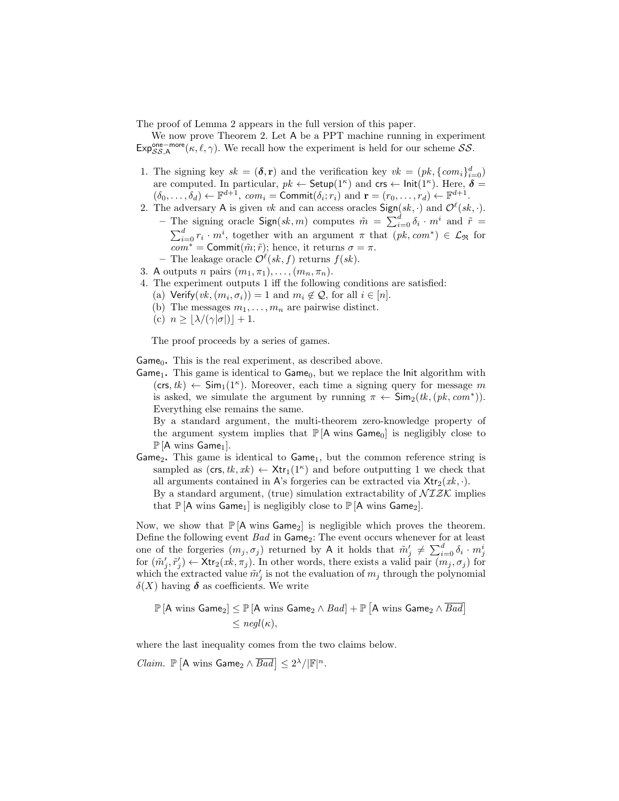The proof of Lemma 2 appears in the full version of this paper.

We now prove Theorem 2. Let A be a PPT machine running in experiment  $Exp_{SS,A}^{\text{one}-\text{more}}(\kappa, \ell, \gamma)$ . We recall how the experiment is held for our scheme SS.

- 1. The signing key  $sk = (\delta, r)$  and the verification key  $vk = (pk, \{com_i\}_{i=0}^d)$ are computed. In particular,  $pk \leftarrow$  Setup(1<sup> $\kappa$ </sup>) and crs  $\leftarrow$  lnit(1<sup> $\kappa$ </sup>). Here,  $\delta =$  $(\delta_0, \ldots, \delta_d) \leftarrow \mathbb{F}^{d+1}$ ,  $com_i = \text{Commit}(\delta_i; r_i)$  and  $\mathbf{r} = (r_0, \ldots, r_d) \leftarrow \mathbb{F}^{d+1}$ .
- 2. The adversary A is given vk and can access oracles  $\textsf{Sign}(sk, \cdot)$  and  $\mathcal{O}^{\ell}(sk, \cdot)$ . - The signing oracle  $\textsf{Sign}(sk,m)$  computes  $\tilde{m} = \sum_{i=0}^{d} \delta_i \cdot m^i$  and  $\tilde{r} =$  $\sum_{i=0}^{d} r_i \cdot m^i$ , together with an argument  $\pi$  that  $(pk, com^*) \in \mathcal{L}_{\Re}$  for  $com^* = \text{Commit}(\tilde{m}; \tilde{r});$  hence, it returns  $\sigma = \pi$ .
	- The leakage oracle  $\mathcal{O}^{\ell}(sk, f)$  returns  $f(sk)$ .
- 3. A outputs n pairs  $(m_1, \pi_1), \ldots, (m_n, \pi_n)$ .
- 4. The experiment outputs 1 iff the following conditions are satisfied:
	- (a) Verify $(vk, (m_i, \sigma_i)) = 1$  and  $m_i \notin \mathcal{Q}$ , for all  $i \in [n]$ . (b) The messages  $m_1, \ldots, m_n$  are pairwise distinct.
	- (c)  $n \geq |\lambda/(\gamma|\sigma|)| + 1.$

The proof proceeds by a series of games.

Game $_0$ . This is the real experiment, as described above.

Game<sub>1</sub>. This game is identical to  $Game_0$ , but we replace the Init algorithm with  $(\text{crs}, tk) \leftarrow \text{Sim}_1(1^{\kappa})$ . Moreover, each time a signing query for message m is asked, we simulate the argument by running  $\pi \leftarrow \textsf{Sim}_2(tk, (pk, com^*)).$ Everything else remains the same.

By a standard argument, the multi-theorem zero-knowledge property of the argument system implies that  $\mathbb{P}[\mathsf{A} \text{ wins } \mathsf{Game}_0]$  is negligibly close to  $\mathbb{P}$  [A wins Game<sub>1</sub>].

Game<sub>2</sub>. This game is identical to Game<sub>1</sub>, but the common reference string is sampled as  $(\text{crs}, tk, xk) \leftarrow \text{Xtr}_1(1^{\kappa})$  and before outputting 1 we check that all arguments contained in A's forgeries can be extracted via  $\mathsf{Xtr}_2(x_k, \cdot)$ .

By a standard argument, (true) simulation extractability of  $\mathcal{NIZK}$  implies that  $\mathbb{P}[\mathsf{A} \text{ wins Game}_1]$  is negligibly close to  $\mathbb{P}[\mathsf{A} \text{ wins Game}_2]$ .

Now, we show that  $\mathbb{P}[A \text{ wins Game}_2]$  is negligible which proves the theorem. Define the following event  $Bad$  in  $Game_2$ : The event occurs whenever for at least one of the forgeries  $(m_j, \sigma_j)$  returned by A it holds that  $\tilde{m}'_j \neq \sum_{i=0}^d \delta_i \cdot m_j^i$ for  $(\tilde{m}'_j, \tilde{r}'_j) \leftarrow \text{Xtr}_2(xk, \pi_j)$ . In other words, there exists a valid pair  $(m_j, \sigma_j)$  for which the extracted value  $\tilde{m}'_j$  is not the evaluation of  $m_j$  through the polynomial  $\delta(X)$  having  $\delta$  as coefficients. We write

 $\mathbb{P} \left[ \mathsf{A} \text{ wins Game}_2 \right] \leq \mathbb{P} \left[ \mathsf{A} \text{ wins Game}_2 \land \textit{Bad} \right] + \mathbb{P} \left[ \mathsf{A} \text{ wins Game}_2 \land \overline{\textit{Bad}} \right]$  $\langle$  negl( $\kappa$ ).

where the last inequality comes from the two claims below.

*Claim.*  $\mathbb{P} \left[ A \text{ wins Game}_2 \wedge \overline{Bad} \right] \leq 2^{\lambda} / |\mathbb{F}|^n$ .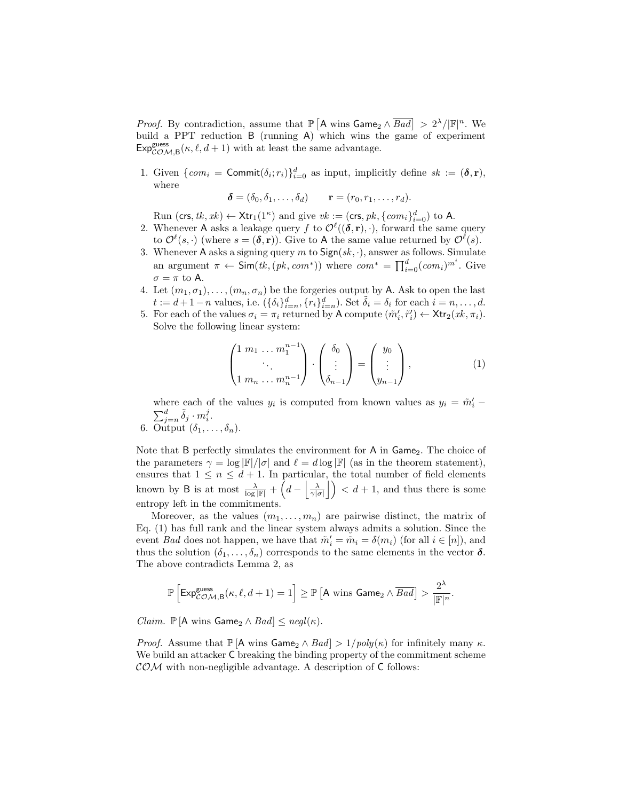*Proof.* By contradiction, assume that  $\mathbb{P}\left[A \text{ wins Game}_2 \wedge \overline{Bad}\right] > 2^{\lambda}/|\mathbb{F}|^n$ . We build a PPT reduction B (running A) which wins the game of experiment  $Exp_{COM,B}^{guess}(\kappa, \ell, d+1)$  with at least the same advantage.

1. Given  $\{com_i = \text{Commit}(\delta_i; r_i)\}_{i=0}^d$  as input, implicitly define  $sk := (\delta, r)$ , where

$$
\boldsymbol{\delta} = (\delta_0, \delta_1, \dots, \delta_d) \qquad \mathbf{r} = (r_0, r_1, \dots, r_d).
$$

Run (crs, tk, xk)  $\leftarrow$  Xtr<sub>1</sub>(1<sup> $\kappa$ </sup>) and give  $vk := (\text{crs}, pk, \{com_i\}_{i=0}^d)$  to A.

- 2. Whenever A asks a leakage query f to  $\mathcal{O}^{\ell}((\delta, r), \cdot)$ , forward the same query to  $\mathcal{O}^{\ell}(s, \cdot)$  (where  $s = (\delta, r)$ ). Give to A the same value returned by  $\mathcal{O}^{\ell}(s)$ .
- 3. Whenever A asks a signing query  $m$  to  $Sign(sk, \cdot)$ , answer as follows. Simulate an argument  $\pi \leftarrow \mathsf{Sim}(tk, (pk, com^*))$  where  $com^* = \prod_{i=0}^d (com_i)^{m^i}$ . Give  $\sigma = \pi$  to A.
- 4. Let  $(m_1, \sigma_1), \ldots, (m_n, \sigma_n)$  be the forgeries output by A. Ask to open the last  $t := d + 1 - n$  values, i.e.  $(\{\delta_i\}_{i=n}^d, \{r_i\}_{i=n}^d)$ . Set  $\tilde{\delta}_i = \delta_i$  for each  $i = n, \ldots, d$ .
- 5. For each of the values  $\sigma_i = \pi_i$  returned by A compute  $(\tilde{m}'_i, \tilde{r}'_i) \leftarrow \text{Xtr}_2(xk, \pi_i)$ . Solve the following linear system:

$$
\begin{pmatrix} 1 & m_1 & \dots & m_1^{n-1} \\ \vdots & \vdots & \vdots \\ 1 & m_n & \dots & m_n^{n-1} \end{pmatrix} \cdot \begin{pmatrix} \delta_0 \\ \vdots \\ \delta_{n-1} \end{pmatrix} = \begin{pmatrix} y_0 \\ \vdots \\ y_{n-1} \end{pmatrix}, \tag{1}
$$

where each of the values  $y_i$  is computed from known values as  $y_i = \tilde{m}'_i$  –  $\sum_{j=n}^d \tilde{\delta}_j \cdot m_i^j$ .

6. Output  $(\delta_1, \ldots, \delta_n)$ .

Note that  $B$  perfectly simulates the environment for  $A$  in  $Game_2$ . The choice of the parameters  $\gamma = \log |\mathbb{F}|/|\sigma|$  and  $\ell = d \log |\mathbb{F}|$  (as in the theorem statement), ensures that  $1 \leq n \leq d+1$ . In particular, the total number of field elements known by B is at most  $\frac{\lambda}{\log |\mathbb{F}|} + \left(d - \left|\frac{\lambda}{\gamma |\sigma|}\right|\right) < d+1$ , and thus there is some entropy left in the commitments.

Moreover, as the values  $(m_1, \ldots, m_n)$  are pairwise distinct, the matrix of Eq. (1) has full rank and the linear system always admits a solution. Since the event *Bad* does not happen, we have that  $\tilde{m}'_i = \tilde{m}_i = \delta(m_i)$  (for all  $i \in [n]$ ), and thus the solution  $(\delta_1, \ldots, \delta_n)$  corresponds to the same elements in the vector  $\delta$ . The above contradicts Lemma 2, as

$$
\mathbb{P}\left[ \text{Exp}_{\mathcal{COM},\mathsf{B}}^{\text{guess}}(\kappa,\ell,d+1) = 1 \right] \geq \mathbb{P}\left[ \mathsf{A} \text{ wins Game}_2 \wedge \overline{\text{Bad}} \right] > \frac{2^{\lambda}}{|\mathbb{F}|^n}.
$$

*Claim.*  $\mathbb{P}[\mathsf{A} \text{ wins Game}_2 \land \text{Bad}] \leq \text{negl}(\kappa)$ .

*Proof.* Assume that  $\mathbb{P}[\mathsf{A} \text{ wins Game}_2 \land \text{Bad}] > 1/poly(\kappa)$  for infinitely many  $\kappa$ . We build an attacker  $C$  breaking the binding property of the commitment scheme  $\mathcal{COM}$  with non-negligible advantage. A description of C follows: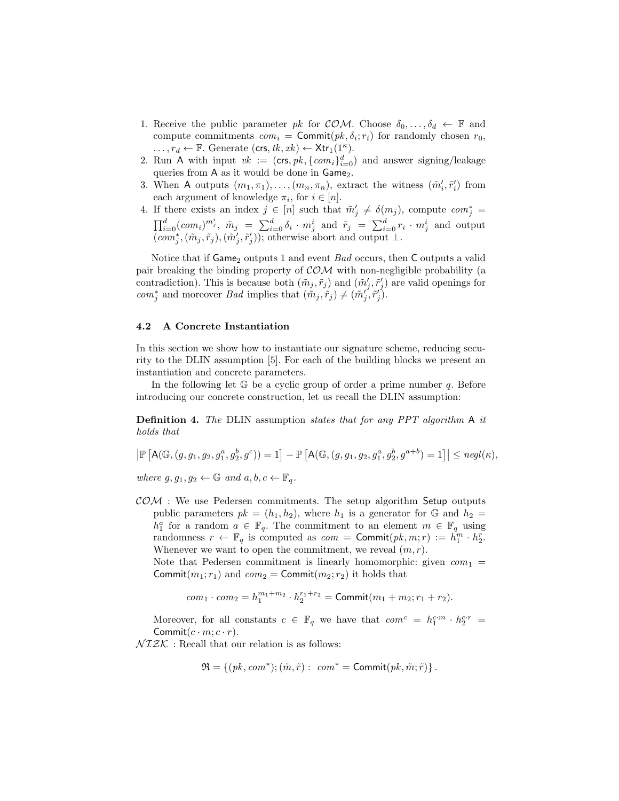- 1. Receive the public parameter pk for COM. Choose  $\delta_0, \ldots, \delta_d \leftarrow \mathbb{F}$  and compute commitments  $com_i = \text{Commit}(pk, \delta_i; r_i)$  for randomly chosen  $r_0$ ,  $\ldots, r_d \leftarrow \mathbb{F}$ . Generate  $(\text{crs}, tk, xk) \leftarrow \text{Xtr}_1(1^{\kappa}).$
- 2. Run A with input  $vk := (\text{crs}, pk, \{com_i\}_{i=0}^d)$  and answer signing/leakage queries from A as it would be done in Game<sub>2</sub>.
- 3. When A outputs  $(m_1, \pi_1), \ldots, (m_n, \pi_n)$ , extract the witness  $(\tilde{m}'_i, \tilde{r}'_i)$  from each argument of knowledge  $\pi_i$ , for  $i \in [n]$ .
- 4. If there exists an index  $j \in [n]$  such that  $\tilde{m}'_j \neq \delta(m_j)$ , compute  $com_j^* =$  $\prod_{i=0}^d (com_i)^{m_j^i}, \ \tilde{m}_j = \sum_{i=0}^d \delta_i \cdot m_j^i$  and  $\tilde{r}_j = \sum_{i=0}^d r_i \cdot m_j^i$  and output  $(\textit{com}_j^*,(\tilde{m}_j,\tilde{r}_j),(\tilde{m}'_j,\tilde{r}'_j))$ ; otherwise abort and output ⊥.

Notice that if  $Game_2$  outputs 1 and event *Bad* occurs, then  $C$  outputs a valid pair breaking the binding property of  $COM$  with non-negligible probability (a contradiction). This is because both  $(\tilde{m}_j, \tilde{r}_j)$  and  $(\tilde{m}'_j, \tilde{r}'_j)$  are valid openings for com<sup>\*</sup><sub>j</sub> and moreover *Bad* implies that  $(\tilde{m}_j, \tilde{r}_j) \neq (\tilde{m}'_j, \tilde{r}'_j)$ .

## 4.2 A Concrete Instantiation

In this section we show how to instantiate our signature scheme, reducing security to the DLIN assumption [5]. For each of the building blocks we present an instantiation and concrete parameters.

In the following let  $\mathbb{G}$  be a cyclic group of order a prime number q. Before introducing our concrete construction, let us recall the DLIN assumption:

Definition 4. The DLIN assumption states that for any PPT algorithm A it holds that

$$
\left| \mathbb{P} \left[ A(\mathbb{G}, (g, g_1, g_2, g_1^a, g_2^b, g^c)) = 1 \right] - \mathbb{P} \left[ A(\mathbb{G}, (g, g_1, g_2, g_1^a, g_2^b, g^{a+b}) = 1 \right] \right| \leq negl(\kappa),
$$

where  $g, g_1, g_2 \leftarrow \mathbb{G}$  and  $a, b, c \leftarrow \mathbb{F}_q$ .

 $COM:$  We use Pedersen commitments. The setup algorithm Setup outputs public parameters  $pk = (h_1, h_2)$ , where  $h_1$  is a generator for G and  $h_2 =$  $h_1^a$  for a random  $a \in \mathbb{F}_q$ . The commitment to an element  $m \in \mathbb{F}_q$  using randomness  $r \leftarrow \mathbb{F}_q$  is computed as  $com = \text{Commit}(pk, m; r) := h_1^m \cdot h_2^r$ . Whenever we want to open the commitment, we reveal  $(m, r)$ .

Note that Pedersen commitment is linearly homomorphic: given  $com_1$  = Commit $(m_1; r_1)$  and  $com_2 =$  Commit $(m_2; r_2)$  it holds that

$$
com_1 \cdot com_2 = h_1^{m_1+m_2} \cdot h_2^{r_1+r_2} = \text{Commit}(m_1+m_2; r_1+r_2).
$$

Moreover, for all constants  $c \in \mathbb{F}_q$  we have that  $com^c = h_1^{c \cdot m} \cdot h_2^{c \cdot r} =$ Commit $(c \cdot m; c \cdot r)$ .

 $\mathcal{N}\mathcal{I}\mathcal{Z}\mathcal{K}\,$  : Recall that our relation is as follows:

$$
\mathfrak{R} = \{ (pk, com^*); (\tilde{m}, \tilde{r}) : com^* = \text{Commit}(pk, \tilde{m}; \tilde{r}) \}.
$$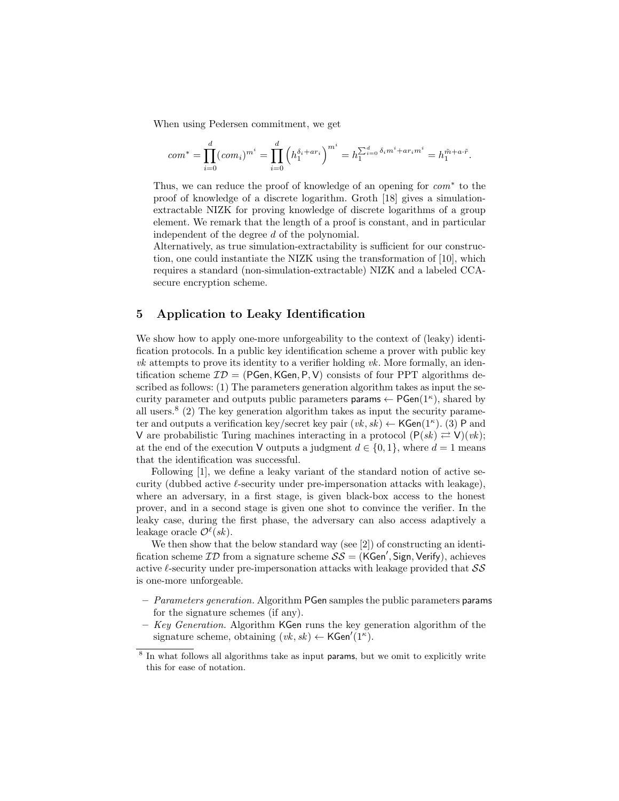When using Pedersen commitment, we get

$$
com^* = \prod_{i=0}^d (com_i)^{m^i} = \prod_{i=0}^d \left( h_1^{\delta_i + ar_i} \right)^{m^i} = h_1^{\sum_{i=0}^d \delta_i m^i + ar_i m^i} = h_1^{\tilde{m} + a \cdot \tilde{r}}.
$$

Thus, we can reduce the proof of knowledge of an opening for com<sup>∗</sup> to the proof of knowledge of a discrete logarithm. Groth [18] gives a simulationextractable NIZK for proving knowledge of discrete logarithms of a group element. We remark that the length of a proof is constant, and in particular independent of the degree d of the polynomial.

Alternatively, as true simulation-extractability is sufficient for our construction, one could instantiate the NIZK using the transformation of [10], which requires a standard (non-simulation-extractable) NIZK and a labeled CCAsecure encryption scheme.

# 5 Application to Leaky Identification

We show how to apply one-more unforgeability to the context of (leaky) identification protocols. In a public key identification scheme a prover with public key  $vk$  attempts to prove its identity to a verifier holding  $vk$ . More formally, an identification scheme  $\mathcal{ID} = (PGen, KGen, P, V)$  consists of four PPT algorithms described as follows: (1) The parameters generation algorithm takes as input the security parameter and outputs public parameters params  $\leftarrow$  PGen(1<sup> $\kappa$ </sup>), shared by all users.<sup>8</sup> (2) The key generation algorithm takes as input the security parameter and outputs a verification key/secret key pair  $(vk, sk) \leftarrow \mathsf{KGen}(1^{\kappa})$ . (3) P and V are probabilistic Turing machines interacting in a protocol  $(P(sk) \rightleftharpoons V)(vk);$ at the end of the execution V outputs a judgment  $d \in \{0, 1\}$ , where  $d = 1$  means that the identification was successful.

Following [1], we define a leaky variant of the standard notion of active security (dubbed active  $\ell$ -security under pre-impersonation attacks with leakage), where an adversary, in a first stage, is given black-box access to the honest prover, and in a second stage is given one shot to convince the verifier. In the leaky case, during the first phase, the adversary can also access adaptively a leakage oracle  $\mathcal{O}^{\ell}(sk)$ .

We then show that the below standard way (see [2]) of constructing an identification scheme  $ID$  from a signature scheme  $SS = (KGen', Sign, Verify),$  achieves active  $\ell$ -security under pre-impersonation attacks with leakage provided that  $\mathcal{SS}$ is one-more unforgeable.

- $-$  *Parameters generation.* Algorithm PGen samples the public parameters params for the signature schemes (if any).
- $-$  Key Generation. Algorithm KGen runs the key generation algorithm of the signature scheme, obtaining  $(vk, sk) \leftarrow \text{KGen}'(1^{\kappa})$ .

<sup>&</sup>lt;sup>8</sup> In what follows all algorithms take as input params, but we omit to explicitly write this for ease of notation.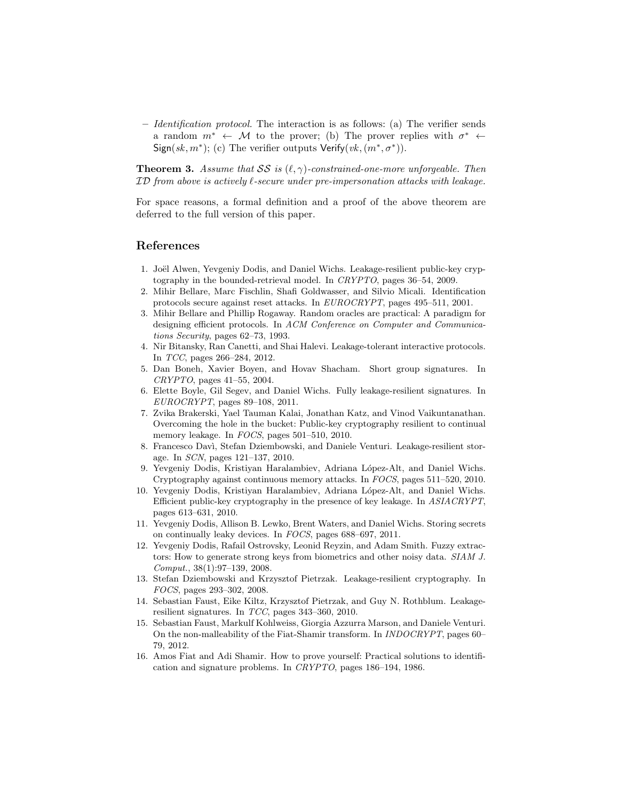– Identification protocol. The interaction is as follows: (a) The verifier sends a random  $m^* \leftarrow M$  to the prover; (b) The prover replies with  $\sigma^* \leftarrow$ Sign(sk, m<sup>\*</sup>); (c) The verifier outputs  $Verify(vk, (m^*, \sigma^*)).$ 

**Theorem 3.** Assume that SS is  $(\ell, \gamma)$ -constrained-one-more unforgeable. Then ID from above is actively  $\ell$ -secure under pre-impersonation attacks with leakage.

For space reasons, a formal definition and a proof of the above theorem are deferred to the full version of this paper.

# References

- 1. Joël Alwen, Yevgeniy Dodis, and Daniel Wichs. Leakage-resilient public-key cryptography in the bounded-retrieval model. In CRYPTO, pages 36–54, 2009.
- 2. Mihir Bellare, Marc Fischlin, Shafi Goldwasser, and Silvio Micali. Identification protocols secure against reset attacks. In EUROCRYPT, pages 495–511, 2001.
- 3. Mihir Bellare and Phillip Rogaway. Random oracles are practical: A paradigm for designing efficient protocols. In ACM Conference on Computer and Communications Security, pages 62–73, 1993.
- 4. Nir Bitansky, Ran Canetti, and Shai Halevi. Leakage-tolerant interactive protocols. In TCC, pages 266–284, 2012.
- 5. Dan Boneh, Xavier Boyen, and Hovav Shacham. Short group signatures. In  $CRYPTO$ , pages 41–55, 2004.
- 6. Elette Boyle, Gil Segev, and Daniel Wichs. Fully leakage-resilient signatures. In  $EUROCRYPT$ , pages 89–108, 2011.
- 7. Zvika Brakerski, Yael Tauman Kalai, Jonathan Katz, and Vinod Vaikuntanathan. Overcoming the hole in the bucket: Public-key cryptography resilient to continual memory leakage. In FOCS, pages 501–510, 2010.
- 8. Francesco Dav`ı, Stefan Dziembowski, and Daniele Venturi. Leakage-resilient storage. In SCN, pages 121–137, 2010.
- 9. Yevgeniy Dodis, Kristiyan Haralambiev, Adriana López-Alt, and Daniel Wichs. Cryptography against continuous memory attacks. In FOCS, pages 511–520, 2010.
- 10. Yevgeniy Dodis, Kristiyan Haralambiev, Adriana López-Alt, and Daniel Wichs. Efficient public-key cryptography in the presence of key leakage. In ASIACRYPT, pages 613–631, 2010.
- 11. Yevgeniy Dodis, Allison B. Lewko, Brent Waters, and Daniel Wichs. Storing secrets on continually leaky devices. In FOCS, pages 688–697, 2011.
- 12. Yevgeniy Dodis, Rafail Ostrovsky, Leonid Reyzin, and Adam Smith. Fuzzy extractors: How to generate strong keys from biometrics and other noisy data. SIAM J. Comput., 38(1):97–139, 2008.
- 13. Stefan Dziembowski and Krzysztof Pietrzak. Leakage-resilient cryptography. In FOCS, pages 293–302, 2008.
- 14. Sebastian Faust, Eike Kiltz, Krzysztof Pietrzak, and Guy N. Rothblum. Leakageresilient signatures. In TCC, pages 343–360, 2010.
- 15. Sebastian Faust, Markulf Kohlweiss, Giorgia Azzurra Marson, and Daniele Venturi. On the non-malleability of the Fiat-Shamir transform. In INDOCRYPT, pages 60– 79, 2012.
- 16. Amos Fiat and Adi Shamir. How to prove yourself: Practical solutions to identification and signature problems. In CRYPTO, pages 186–194, 1986.